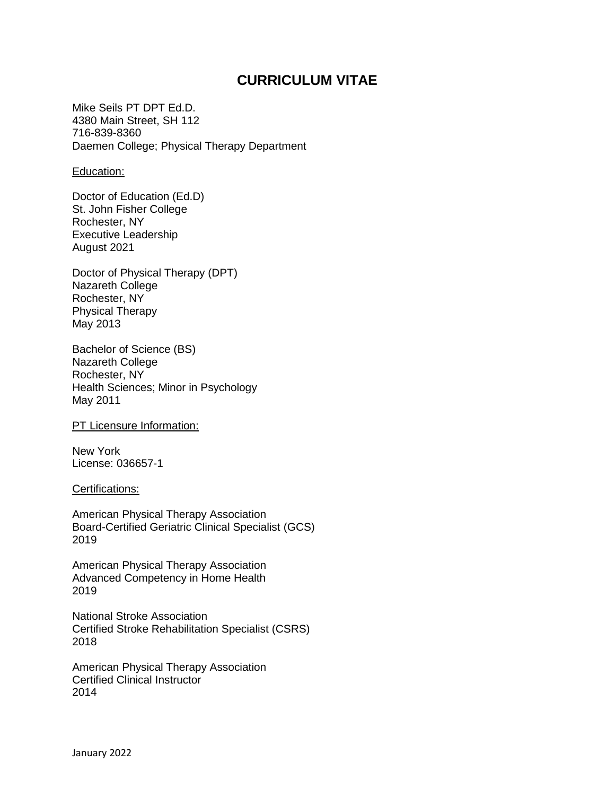# **CURRICULUM VITAE**

Mike Seils PT DPT Ed.D. 4380 Main Street, SH 112 716-839-8360 Daemen College; Physical Therapy Department

### Education:

Doctor of Education (Ed.D) St. John Fisher College Rochester, NY Executive Leadership August 2021

Doctor of Physical Therapy (DPT) Nazareth College Rochester, NY Physical Therapy May 2013

Bachelor of Science (BS) Nazareth College Rochester, NY Health Sciences; Minor in Psychology May 2011

PT Licensure Information:

New York License: 036657-1

Certifications:

American Physical Therapy Association Board-Certified Geriatric Clinical Specialist (GCS) 2019

American Physical Therapy Association Advanced Competency in Home Health 2019

National Stroke Association Certified Stroke Rehabilitation Specialist (CSRS) 2018

American Physical Therapy Association Certified Clinical Instructor 2014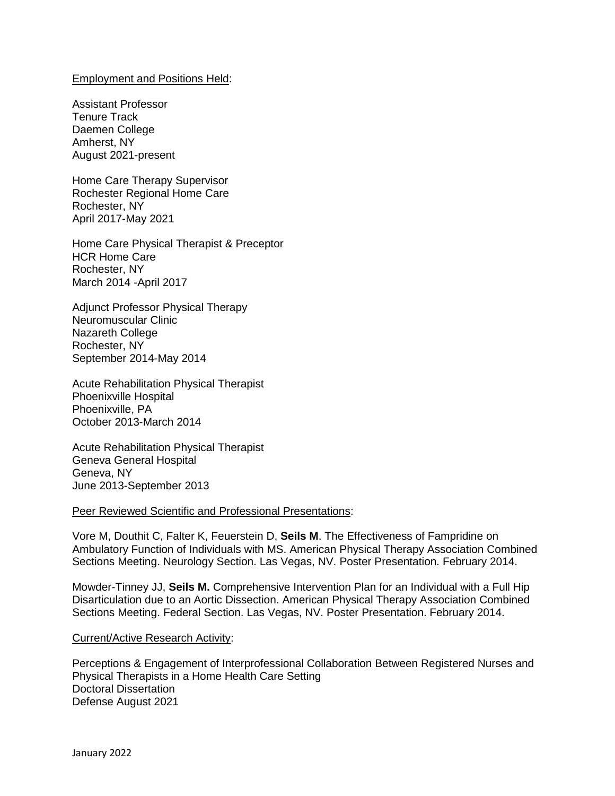# Employment and Positions Held:

Assistant Professor Tenure Track Daemen College Amherst, NY August 2021-present

Home Care Therapy Supervisor Rochester Regional Home Care Rochester, NY April 2017-May 2021

Home Care Physical Therapist & Preceptor HCR Home Care Rochester, NY March 2014 -April 2017

Adjunct Professor Physical Therapy Neuromuscular Clinic Nazareth College Rochester, NY September 2014-May 2014

Acute Rehabilitation Physical Therapist Phoenixville Hospital Phoenixville, PA October 2013-March 2014

Acute Rehabilitation Physical Therapist Geneva General Hospital Geneva, NY June 2013-September 2013

## Peer Reviewed Scientific and Professional Presentations:

Vore M, Douthit C, Falter K, Feuerstein D, **Seils M**. The Effectiveness of Fampridine on Ambulatory Function of Individuals with MS. American Physical Therapy Association Combined Sections Meeting. Neurology Section. Las Vegas, NV. Poster Presentation. February 2014.

Mowder-Tinney JJ, **Seils M.** Comprehensive Intervention Plan for an Individual with a Full Hip Disarticulation due to an Aortic Dissection. American Physical Therapy Association Combined Sections Meeting. Federal Section. Las Vegas, NV. Poster Presentation. February 2014.

#### Current/Active Research Activity:

Perceptions & Engagement of Interprofessional Collaboration Between Registered Nurses and Physical Therapists in a Home Health Care Setting Doctoral Dissertation Defense August 2021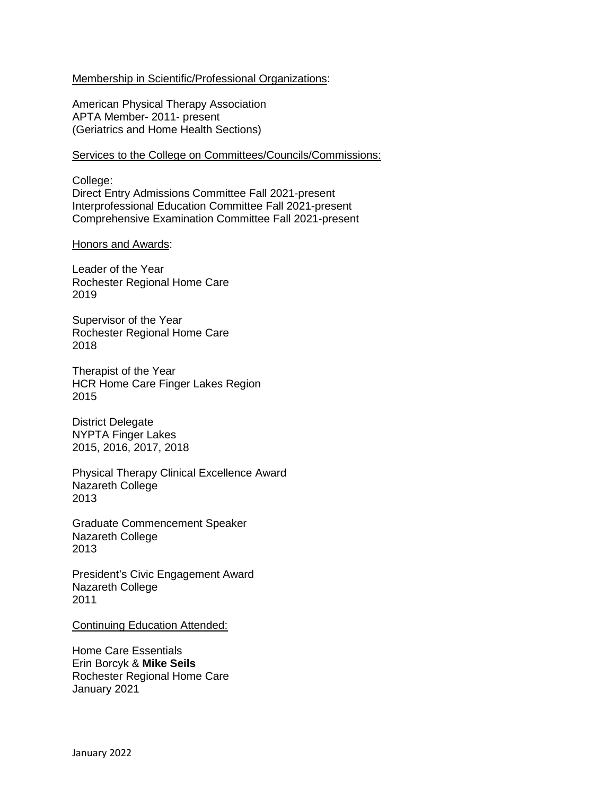# Membership in Scientific/Professional Organizations:

American Physical Therapy Association APTA Member- 2011- present (Geriatrics and Home Health Sections)

# Services to the College on Committees/Councils/Commissions:

College: Direct Entry Admissions Committee Fall 2021-present Interprofessional Education Committee Fall 2021-present Comprehensive Examination Committee Fall 2021-present

## Honors and Awards:

Leader of the Year Rochester Regional Home Care 2019

Supervisor of the Year Rochester Regional Home Care 2018

Therapist of the Year HCR Home Care Finger Lakes Region 2015

District Delegate NYPTA Finger Lakes 2015, 2016, 2017, 2018

Physical Therapy Clinical Excellence Award Nazareth College 2013

Graduate Commencement Speaker Nazareth College 2013

President's Civic Engagement Award Nazareth College 2011

Continuing Education Attended:

Home Care Essentials Erin Borcyk & **Mike Seils** Rochester Regional Home Care January 2021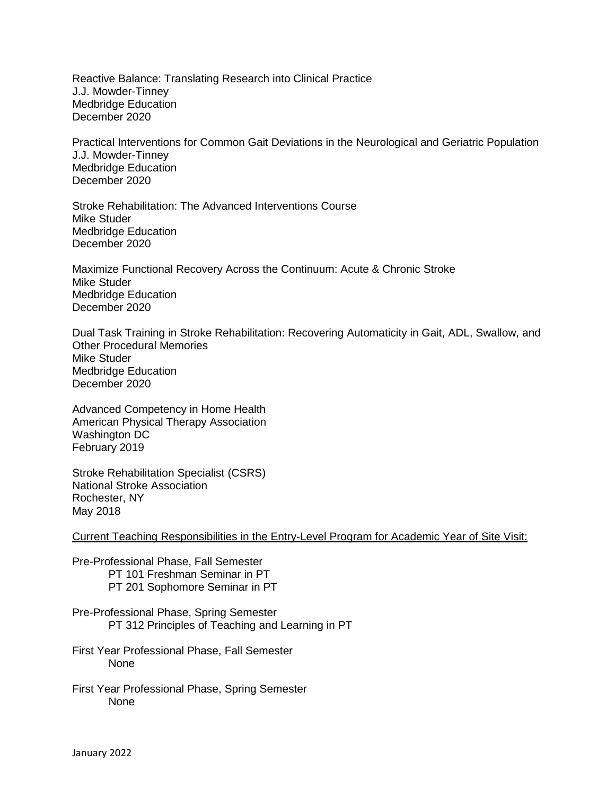Reactive Balance: Translating Research into Clinical Practice J.J. Mowder-Tinney Medbridge Education December 2020

Practical Interventions for Common Gait Deviations in the Neurological and Geriatric Population J.J. Mowder-Tinney Medbridge Education December 2020

Stroke Rehabilitation: The Advanced Interventions Course Mike Studer Medbridge Education December 2020

Maximize Functional Recovery Across the Continuum: Acute & Chronic Stroke Mike Studer Medbridge Education December 2020

Dual Task Training in Stroke Rehabilitation: Recovering Automaticity in Gait, ADL, Swallow, and Other Procedural Memories Mike Studer Medbridge Education December 2020

Advanced Competency in Home Health American Physical Therapy Association Washington DC February 2019

Stroke Rehabilitation Specialist (CSRS) National Stroke Association Rochester, NY May 2018

Current Teaching Responsibilities in the Entry-Level Program for Academic Year of Site Visit:

Pre-Professional Phase, Fall Semester PT 101 Freshman Seminar in PT PT 201 Sophomore Seminar in PT

Pre-Professional Phase, Spring Semester PT 312 Principles of Teaching and Learning in PT

First Year Professional Phase, Fall Semester None

First Year Professional Phase, Spring Semester None